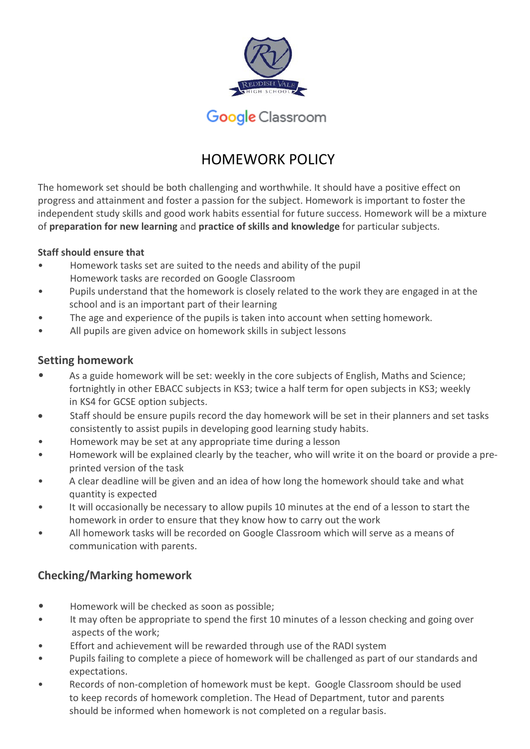

# Google Classroom

# HOMEWORK POLICY

The homework set should be both challenging and worthwhile. It should have a positive effect on progress and attainment and foster a passion for the subject. Homework is important to foster the independent study skills and good work habits essential for future success. Homework will be a mixture of **preparation for new learning** and **practice of skills and knowledge** for particular subjects.

### **Staff should ensure that**

- Homework tasks set are suited to the needs and ability of the pupil Homework tasks are recorded on Google Classroom
- Pupils understand that the homework is closely related to the work they are engaged in at the school and is an important part of their learning
- The age and experience of the pupils is taken into account when setting homework.
- All pupils are given advice on homework skills in subject lessons

### **Setting homework**

- As a guide homework will be set: weekly in the core subjects of English, Maths and Science; fortnightly in other EBACC subjects in KS3; twice a half term for open subjects in KS3; weekly in KS4 for GCSE option subjects.
- Staff should be ensure pupils record the day homework will be set in their planners and set tasks consistently to assist pupils in developing good learning study habits.
- Homework may be set at any appropriate time during a lesson
- Homework will be explained clearly by the teacher, who will write it on the board or provide a preprinted version of the task
- A clear deadline will be given and an idea of how long the homework should take and what quantity is expected
- It will occasionally be necessary to allow pupils 10 minutes at the end of a lesson to start the homework in order to ensure that they know how to carry out the work
- All homework tasks will be recorded on Google Classroom which will serve as a means of communication with parents.

## **Checking/Marking homework**

- Homework will be checked as soon as possible;
- It may often be appropriate to spend the first 10 minutes of a lesson checking and going over aspects of the work;
- Effort and achievement will be rewarded through use of the RADI system
- Pupils failing to complete a piece of homework will be challenged as part of our standards and expectations.
- Records of non-completion of homework must be kept. Google Classroom should be used to keep records of homework completion. The Head of Department, tutor and parents should be informed when homework is not completed on a regular basis.